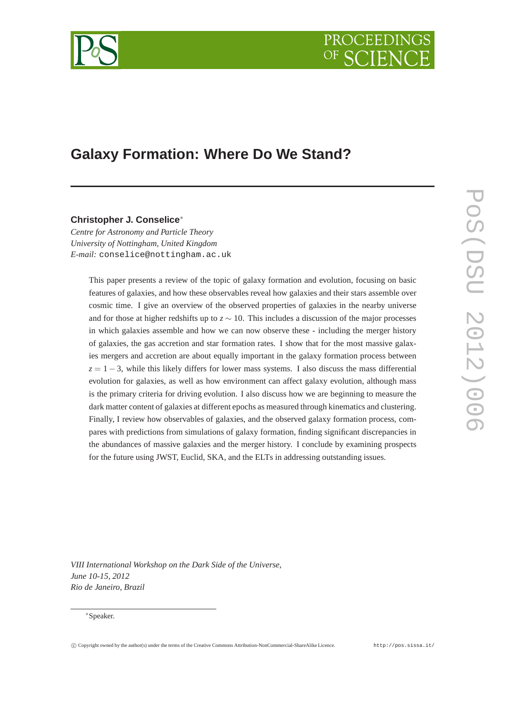

# **Galaxy Formation: Where Do We Stand?**

# **Christopher J. Conselice**<sup>∗</sup>

*Centre for Astronomy and Particle Theory University of Nottingham, United Kingdom E-mail:* conselice@nottingham.ac.uk

> This paper presents a review of the topic of galaxy formation and evolution, focusing on basic features of galaxies, and how these observables reveal how galaxies and their stars assemble over cosmic time. I give an overview of the observed properties of galaxies in the nearby universe and for those at higher redshifts up to *z* ∼ 10. This includes a discussion of the major processes in which galaxies assemble and how we can now observe these - including the merger history of galaxies, the gas accretion and star formation rates. I show that for the most massive galaxies mergers and accretion are about equally important in the galaxy formation process between  $z = 1 - 3$ , while this likely differs for lower mass systems. I also discuss the mass differential evolution for galaxies, as well as how environment can affect galaxy evolution, although mass is the primary criteria for driving evolution. I also discuss how we are beginning to measure the dark matter content of galaxies at different epochs as measured through kinematics and clustering. Finally, I review how observables of galaxies, and the observed galaxy formation process, compares with predictions from simulations of galaxy formation, finding significant discrepancies in the abundances of massive galaxies and the merger history. I conclude by examining prospects for the future using JWST, Euclid, SKA, and the ELTs in addressing outstanding issues.

*VIII International Workshop on the Dark Side of the Universe, June 10-15, 2012 Rio de Janeiro, Brazil*

# <sup>∗</sup>Speaker.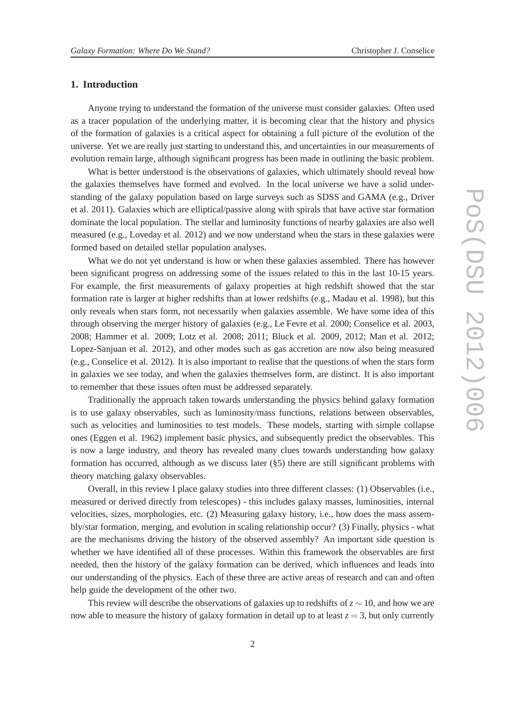# **1. Introduction**

Anyone trying to understand the formation of the universe must consider galaxies. Often used as a tracer population of the underlying matter, it is becoming clear that the history and physics of the formation of galaxies is a critical aspect for obtaining a full picture of the evolution of the universe. Yet we are really just starting to understand this, and uncertainties in our measurements of evolution remain large, although significant progress has been made in outlining the basic problem.

What is better understood is the observations of galaxies, which ultimately should reveal how the galaxies themselves have formed and evolved. In the local universe we have a solid understanding of the galaxy population based on large surveys such as SDSS and GAMA (e.g., Driver et al. 2011). Galaxies which are elliptical/passive along with spirals that have active star formation dominate the local population. The stellar and luminosity functions of nearby galaxies are also well measured (e.g., Loveday et al. 2012) and we now understand when the stars in these galaxies were formed based on detailed stellar population analyses.

What we do not yet understand is how or when these galaxies assembled. There has however been significant progress on addressing some of the issues related to this in the last 10-15 years. For example, the first measurements of galaxy properties at high redshift showed that the star formation rate is larger at higher redshifts than at lower redshifts (e.g., Madau et al. 1998), but this only reveals when stars form, not necessarily when galaxies assemble. We have some idea of this through observing the merger history of galaxies (e.g., Le Fevre et al. 2000; Conselice et al. 2003, 2008; Hammer et al. 2009; Lotz et al. 2008; 2011; Bluck et al. 2009, 2012; Man et al. 2012; Lopez-Sanjuan et al. 2012), and other modes such as gas accretion are now also being measured (e.g., Conselice et al. 2012). It is also important to realise that the questions of when the stars form in galaxies we see today, and when the galaxies themselves form, are distinct. It is also important to remember that these issues often must be addressed separately.

Traditionally the approach taken towards understanding the physics behind galaxy formation is to use galaxy observables, such as luminosity/mass functions, relations between observables, such as velocities and luminosities to test models. These models, starting with simple collapse ones (Eggen et al. 1962) implement basic physics, and subsequently predict the observables. This is now a large industry, and theory has revealed many clues towards understanding how galaxy formation has occurred, although as we discuss later (§5) there are still significant problems with theory matching galaxy observables.

Overall, in this review I place galaxy studies into three different classes: (1) Observables (i.e., measured or derived directly from telescopes) - this includes galaxy masses, luminosities, internal velocities, sizes, morphologies, etc. (2) Measuring galaxy history, i.e., how does the mass assembly/star formation, merging, and evolution in scaling relationship occur? (3) Finally, physics - what are the mechanisms driving the history of the observed assembly? An important side question is whether we have identified all of these processes. Within this framework the observables are first needed, then the history of the galaxy formation can be derived, which influences and leads into our understanding of the physics. Each of these three are active areas of research and can and often help guide the development of the other two.

This review will describe the observations of galaxies up to redshifts of *z* ∼ 10, and how we are now able to measure the history of galaxy formation in detail up to at least  $z = 3$ , but only currently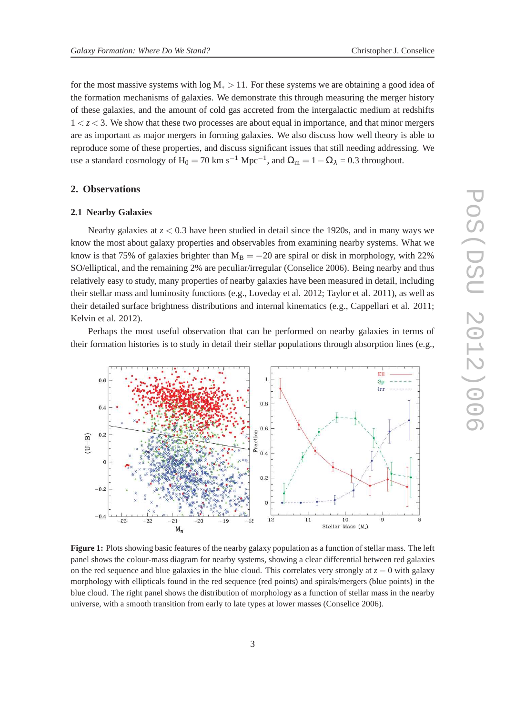for the most massive systems with  $\log M_* > 11$ . For these systems we are obtaining a good idea of the formation mechanisms of galaxies. We demonstrate this through measuring the merger history of these galaxies, and the amount of cold gas accreted from the intergalactic medium at redshifts  $1 < z < 3$ . We show that these two processes are about equal in importance, and that minor mergers are as important as major mergers in forming galaxies. We also discuss how well theory is able to reproduce some of these properties, and discuss significant issues that still needing addressing. We use a standard cosmology of H<sub>0</sub> = 70 km s<sup>-1</sup> Mpc<sup>-1</sup>, and  $\Omega_m = 1 - \Omega_{\lambda} = 0.3$  throughout.

### **2. Observations**

#### **2.1 Nearby Galaxies**

Nearby galaxies at  $z < 0.3$  have been studied in detail since the 1920s, and in many ways we know the most about galaxy properties and observables from examining nearby systems. What we know is that 75% of galaxies brighter than  $M_B = -20$  are spiral or disk in morphology, with 22% SO/elliptical, and the remaining 2% are peculiar/irregular (Conselice 2006). Being nearby and thus relatively easy to study, many properties of nearby galaxies have been measured in detail, including their stellar mass and luminosity functions (e.g., Loveday et al. 2012; Taylor et al. 2011), as well as their detailed surface brightness distributions and internal kinematics (e.g., Cappellari et al. 2011; Kelvin et al. 2012).

Perhaps the most useful observation that can be performed on nearby galaxies in terms of their formation histories is to study in detail their stellar populations through absorption lines (e.g.,



**Figure 1:** Plots showing basic features of the nearby galaxy population as a function of stellar mass. The left panel shows the colour-mass diagram for nearby systems, showing a clear differential between red galaxies on the red sequence and blue galaxies in the blue cloud. This correlates very strongly at  $z = 0$  with galaxy morphology with ellipticals found in the red sequence (red points) and spirals/mergers (blue points) in the blue cloud. The right panel shows the distribution of morphology as a function of stellar mass in the nearby universe, with a smooth transition from early to late types at lower masses (Conselice 2006).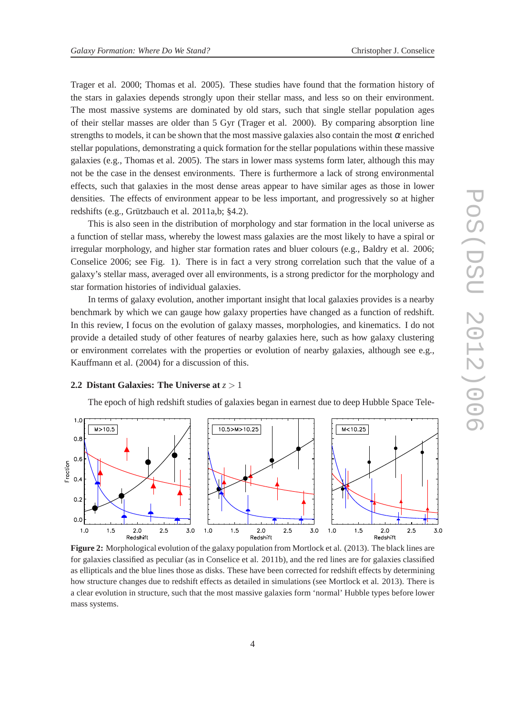Trager et al. 2000; Thomas et al. 2005). These studies have found that the formation history of the stars in galaxies depends strongly upon their stellar mass, and less so on their environment. The most massive systems are dominated by old stars, such that single stellar population ages of their stellar masses are older than 5 Gyr (Trager et al. 2000). By comparing absorption line strengths to models, it can be shown that the most massive galaxies also contain the most  $\alpha$  enriched stellar populations, demonstrating a quick formation for the stellar populations within these massive galaxies (e.g., Thomas et al. 2005). The stars in lower mass systems form later, although this may not be the case in the densest environments. There is furthermore a lack of strong environmental effects, such that galaxies in the most dense areas appear to have similar ages as those in lower densities. The effects of environment appear to be less important, and progressively so at higher redshifts (e.g., Grützbauch et al. 2011a,b; §4.2).

This is also seen in the distribution of morphology and star formation in the local universe as a function of stellar mass, whereby the lowest mass galaxies are the most likely to have a spiral or irregular morphology, and higher star formation rates and bluer colours (e.g., Baldry et al. 2006; Conselice 2006; see Fig. 1). There is in fact a very strong correlation such that the value of a galaxy's stellar mass, averaged over all environments, is a strong predictor for the morphology and star formation histories of individual galaxies.

In terms of galaxy evolution, another important insight that local galaxies provides is a nearby benchmark by which we can gauge how galaxy properties have changed as a function of redshift. In this review, I focus on the evolution of galaxy masses, morphologies, and kinematics. I do not provide a detailed study of other features of nearby galaxies here, such as how galaxy clustering or environment correlates with the properties or evolution of nearby galaxies, although see e.g., Kauffmann et al. (2004) for a discussion of this.

# **2.2 Distant Galaxies: The Universe at** *z* > 1

The epoch of high redshift studies of galaxies began in earnest due to deep Hubble Space Tele-



**Figure 2:** Morphological evolution of the galaxy population from Mortlock et al. (2013). The black lines are for galaxies classified as peculiar (as in Conselice et al. 2011b), and the red lines are for galaxies classified as ellipticals and the blue lines those as disks. These have been corrected for redshift effects by determining how structure changes due to redshift effects as detailed in simulations (see Mortlock et al. 2013). There is a clear evolution in structure, such that the most massive galaxies form 'normal' Hubble types before lower mass systems.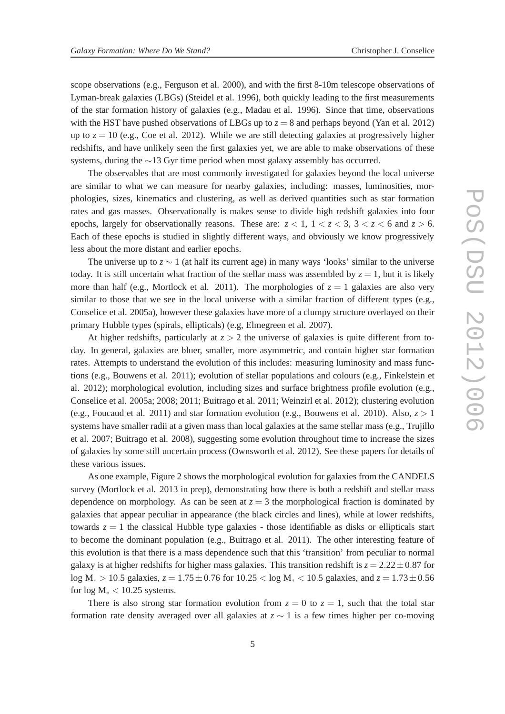scope observations (e.g., Ferguson et al. 2000), and with the first 8-10m telescope observations of Lyman-break galaxies (LBGs) (Steidel et al. 1996), both quickly leading to the first measurements of the star formation history of galaxies (e.g., Madau et al. 1996). Since that time, observations with the HST have pushed observations of LBGs up to  $z = 8$  and perhaps beyond (Yan et al. 2012) up to  $z = 10$  (e.g., Coe et al. 2012). While we are still detecting galaxies at progressively higher redshifts, and have unlikely seen the first galaxies yet, we are able to make observations of these systems, during the ∼13 Gyr time period when most galaxy assembly has occurred.

The observables that are most commonly investigated for galaxies beyond the local universe are similar to what we can measure for nearby galaxies, including: masses, luminosities, morphologies, sizes, kinematics and clustering, as well as derived quantities such as star formation rates and gas masses. Observationally is makes sense to divide high redshift galaxies into four epochs, largely for observationally reasons. These are:  $z < 1$ ,  $1 < z < 3$ ,  $3 < z < 6$  and  $z > 6$ . Each of these epochs is studied in slightly different ways, and obviously we know progressively less about the more distant and earlier epochs.

The universe up to  $z \sim 1$  (at half its current age) in many ways 'looks' similar to the universe today. It is still uncertain what fraction of the stellar mass was assembled by  $z = 1$ , but it is likely more than half (e.g., Mortlock et al. 2011). The morphologies of  $z = 1$  galaxies are also very similar to those that we see in the local universe with a similar fraction of different types (e.g., Conselice et al. 2005a), however these galaxies have more of a clumpy structure overlayed on their primary Hubble types (spirals, ellipticals) (e.g, Elmegreen et al. 2007).

At higher redshifts, particularly at  $z > 2$  the universe of galaxies is quite different from today. In general, galaxies are bluer, smaller, more asymmetric, and contain higher star formation rates. Attempts to understand the evolution of this includes: measuring luminosity and mass functions (e.g., Bouwens et al. 2011); evolution of stellar populations and colours (e.g., Finkelstein et al. 2012); morphological evolution, including sizes and surface brightness profile evolution (e.g., Conselice et al. 2005a; 2008; 2011; Buitrago et al. 2011; Weinzirl et al. 2012); clustering evolution (e.g., Foucaud et al. 2011) and star formation evolution (e.g., Bouwens et al. 2010). Also,  $z > 1$ systems have smaller radii at a given mass than local galaxies at the same stellar mass (e.g., Trujillo et al. 2007; Buitrago et al. 2008), suggesting some evolution throughout time to increase the sizes of galaxies by some still uncertain process (Ownsworth et al. 2012). See these papers for details of these various issues.

As one example, Figure 2 shows the morphological evolution for galaxies from the CANDELS survey (Mortlock et al. 2013 in prep), demonstrating how there is both a redshift and stellar mass dependence on morphology. As can be seen at  $z = 3$  the morphological fraction is dominated by galaxies that appear peculiar in appearance (the black circles and lines), while at lower redshifts, towards  $z = 1$  the classical Hubble type galaxies - those identifiable as disks or ellipticals start to become the dominant population (e.g., Buitrago et al. 2011). The other interesting feature of this evolution is that there is a mass dependence such that this 'transition' from peculiar to normal galaxy is at higher redshifts for higher mass galaxies. This transition redshift is  $z = 2.22 \pm 0.87$  for log M<sup>∗</sup> > 10.5 galaxies, *z* = 1.75±0.76 for 10.25 < log M<sup>∗</sup> < 10.5 galaxies, and *z* = 1.73±0.56 for  $log M_{*} < 10.25$  systems.

There is also strong star formation evolution from  $z = 0$  to  $z = 1$ , such that the total star formation rate density averaged over all galaxies at *z* ∼ 1 is a few times higher per co-moving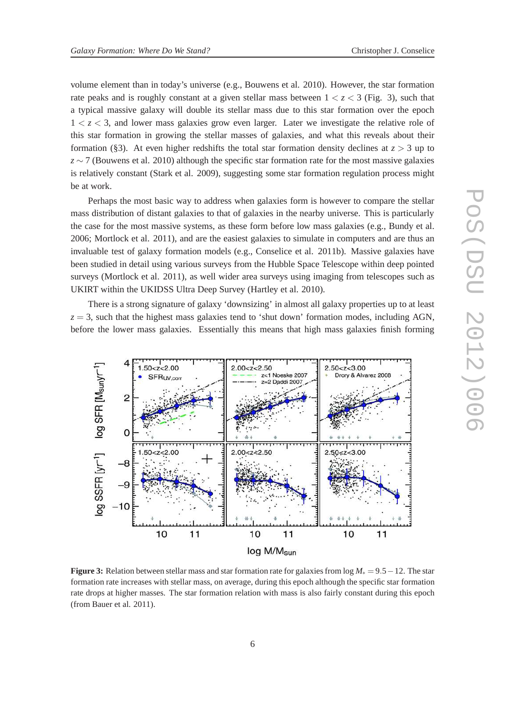volume element than in today's universe (e.g., Bouwens et al. 2010). However, the star formation rate peaks and is roughly constant at a given stellar mass between  $1 < z < 3$  (Fig. 3), such that a typical massive galaxy will double its stellar mass due to this star formation over the epoch  $1 < z < 3$ , and lower mass galaxies grow even larger. Later we investigate the relative role of this star formation in growing the stellar masses of galaxies, and what this reveals about their formation (§3). At even higher redshifts the total star formation density declines at  $z > 3$  up to *z* ∼ 7 (Bouwens et al. 2010) although the specific star formation rate for the most massive galaxies is relatively constant (Stark et al. 2009), suggesting some star formation regulation process might be at work.

Perhaps the most basic way to address when galaxies form is however to compare the stellar mass distribution of distant galaxies to that of galaxies in the nearby universe. This is particularly the case for the most massive systems, as these form before low mass galaxies (e.g., Bundy et al. 2006; Mortlock et al. 2011), and are the easiest galaxies to simulate in computers and are thus an invaluable test of galaxy formation models (e.g., Conselice et al. 2011b). Massive galaxies have been studied in detail using various surveys from the Hubble Space Telescope within deep pointed surveys (Mortlock et al. 2011), as well wider area surveys using imaging from telescopes such as UKIRT within the UKIDSS Ultra Deep Survey (Hartley et al. 2010).

There is a strong signature of galaxy 'downsizing' in almost all galaxy properties up to at least  $z = 3$ , such that the highest mass galaxies tend to 'shut down' formation modes, including AGN, before the lower mass galaxies. Essentially this means that high mass galaxies finish forming



**Figure 3:** Relation between stellar mass and star formation rate for galaxies from log *M*<sup>∗</sup> = 9.5−12. The star formation rate increases with stellar mass, on average, during this epoch although the specific star formation rate drops at higher masses. The star formation relation with mass is also fairly constant during this epoch (from Bauer et al. 2011).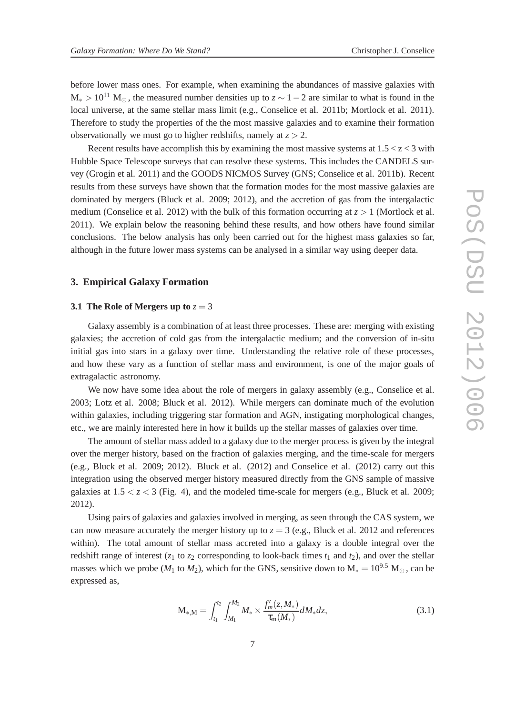before lower mass ones. For example, when examining the abundances of massive galaxies with  $M_* > 10^{11}$  M<sub>⊙</sub>, the measured number densities up to  $z \sim 1-2$  are similar to what is found in the local universe, at the same stellar mass limit (e.g., Conselice et al. 2011b; Mortlock et al. 2011). Therefore to study the properties of the the most massive galaxies and to examine their formation observationally we must go to higher redshifts, namely at  $z > 2$ .

Recent results have accomplish this by examining the most massive systems at  $1.5 < z < 3$  with Hubble Space Telescope surveys that can resolve these systems. This includes the CANDELS survey (Grogin et al. 2011) and the GOODS NICMOS Survey (GNS; Conselice et al. 2011b). Recent results from these surveys have shown that the formation modes for the most massive galaxies are dominated by mergers (Bluck et al. 2009; 2012), and the accretion of gas from the intergalactic medium (Conselice et al. 2012) with the bulk of this formation occurring at  $z > 1$  (Mortlock et al. 2011). We explain below the reasoning behind these results, and how others have found similar conclusions. The below analysis has only been carried out for the highest mass galaxies so far, although in the future lower mass systems can be analysed in a similar way using deeper data.

# **3. Empirical Galaxy Formation**

#### **3.1 The Role of Mergers up to**  $z = 3$

Galaxy assembly is a combination of at least three processes. These are: merging with existing galaxies; the accretion of cold gas from the intergalactic medium; and the conversion of in-situ initial gas into stars in a galaxy over time. Understanding the relative role of these processes, and how these vary as a function of stellar mass and environment, is one of the major goals of extragalactic astronomy.

We now have some idea about the role of mergers in galaxy assembly (e.g., Conselice et al. 2003; Lotz et al. 2008; Bluck et al. 2012). While mergers can dominate much of the evolution within galaxies, including triggering star formation and AGN, instigating morphological changes, etc., we are mainly interested here in how it builds up the stellar masses of galaxies over time.

The amount of stellar mass added to a galaxy due to the merger process is given by the integral over the merger history, based on the fraction of galaxies merging, and the time-scale for mergers (e.g., Bluck et al. 2009; 2012). Bluck et al. (2012) and Conselice et al. (2012) carry out this integration using the observed merger history measured directly from the GNS sample of massive galaxies at  $1.5 < z < 3$  (Fig. 4), and the modeled time-scale for mergers (e.g., Bluck et al. 2009; 2012).

Using pairs of galaxies and galaxies involved in merging, as seen through the CAS system, we can now measure accurately the merger history up to  $z = 3$  (e.g., Bluck et al. 2012 and references within). The total amount of stellar mass accreted into a galaxy is a double integral over the redshift range of interest  $(z_1$  to  $z_2$  corresponding to look-back times  $t_1$  and  $t_2$ ), and over the stellar masses which we probe ( $M_1$  to  $M_2$ ), which for the GNS, sensitive down to  $M_* = 10^{9.5}$  M<sub>☉</sub>, can be expressed as,

$$
\mathbf{M}_{*,\mathbf{M}} = \int_{t_1}^{t_2} \int_{M_1}^{M_2} M_* \times \frac{f_m'(z, M_*)}{\tau_m(M_*)} dM_* dz, \tag{3.1}
$$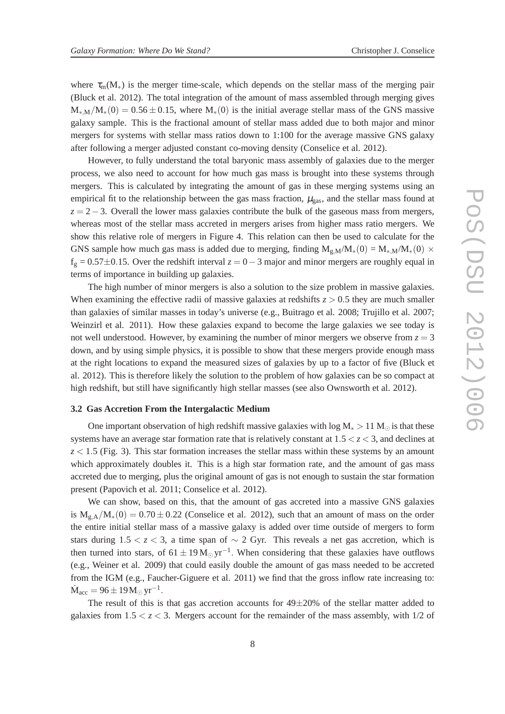where  $\tau_{m}(M_{*})$  is the merger time-scale, which depends on the stellar mass of the merging pair (Bluck et al. 2012). The total integration of the amount of mass assembled through merging gives  $M_{*,M}/M_*(0) = 0.56 \pm 0.15$ , where  $M_*(0)$  is the initial average stellar mass of the GNS massive galaxy sample. This is the fractional amount of stellar mass added due to both major and minor mergers for systems with stellar mass ratios down to 1:100 for the average massive GNS galaxy after following a merger adjusted constant co-moving density (Conselice et al. 2012).

However, to fully understand the total baryonic mass assembly of galaxies due to the merger process, we also need to account for how much gas mass is brought into these systems through mergers. This is calculated by integrating the amount of gas in these merging systems using an empirical fit to the relationship between the gas mass fraction,  $\mu_{\text{gas}}$ , and the stellar mass found at  $z = 2-3$ . Overall the lower mass galaxies contribute the bulk of the gaseous mass from mergers, whereas most of the stellar mass accreted in mergers arises from higher mass ratio mergers. We show this relative role of mergers in Figure 4. This relation can then be used to calculate for the GNS sample how much gas mass is added due to merging, finding  $M_{g,M}/M_*(0) = M_{*,M}/M_*(0) \times$  $f_g = 0.57 \pm 0.15$ . Over the redshift interval  $z = 0-3$  major and minor mergers are roughly equal in terms of importance in building up galaxies.

The high number of minor mergers is also a solution to the size problem in massive galaxies. When examining the effective radii of massive galaxies at redshifts  $z > 0.5$  they are much smaller than galaxies of similar masses in today's universe (e.g., Buitrago et al. 2008; Trujillo et al. 2007; Weinzirl et al. 2011). How these galaxies expand to become the large galaxies we see today is not well understood. However, by examining the number of minor mergers we observe from  $z = 3$ down, and by using simple physics, it is possible to show that these mergers provide enough mass at the right locations to expand the measured sizes of galaxies by up to a factor of five (Bluck et al. 2012). This is therefore likely the solution to the problem of how galaxies can be so compact at high redshift, but still have significantly high stellar masses (see also Ownsworth et al. 2012).

#### **3.2 Gas Accretion From the Intergalactic Medium**

One important observation of high redshift massive galaxies with log  $M_* > 11 M_{\odot}$  is that these systems have an average star formation rate that is relatively constant at 1.5 < *z* < 3, and declines at  $z < 1.5$  (Fig. 3). This star formation increases the stellar mass within these systems by an amount which approximately doubles it. This is a high star formation rate, and the amount of gas mass accreted due to merging, plus the original amount of gas is not enough to sustain the star formation present (Papovich et al. 2011; Conselice et al. 2012).

We can show, based on this, that the amount of gas accreted into a massive GNS galaxies is  $M_{\sigma A}/M_*(0) = 0.70 \pm 0.22$  (Conselice et al. 2012), such that an amount of mass on the order the entire initial stellar mass of a massive galaxy is added over time outside of mergers to form stars during  $1.5 < z < 3$ , a time span of ∼ 2 Gyr. This reveals a net gas accretion, which is then turned into stars, of  $61 \pm 19 \,\mathrm{M}_{\odot} \, \mathrm{yr}^{-1}$ . When considering that these galaxies have outflows (e.g., Weiner et al. 2009) that could easily double the amount of gas mass needed to be accreted from the IGM (e.g., Faucher-Giguere et al. 2011) we find that the gross inflow rate increasing to:  $\dot{M}_{\text{acc}} = 96 \pm 19 \,\text{M}_{\odot} \,\text{yr}^{-1}$ .

The result of this is that gas accretion accounts for  $49\pm20\%$  of the stellar matter added to galaxies from  $1.5 < z < 3$ . Mergers account for the remainder of the mass assembly, with  $1/2$  of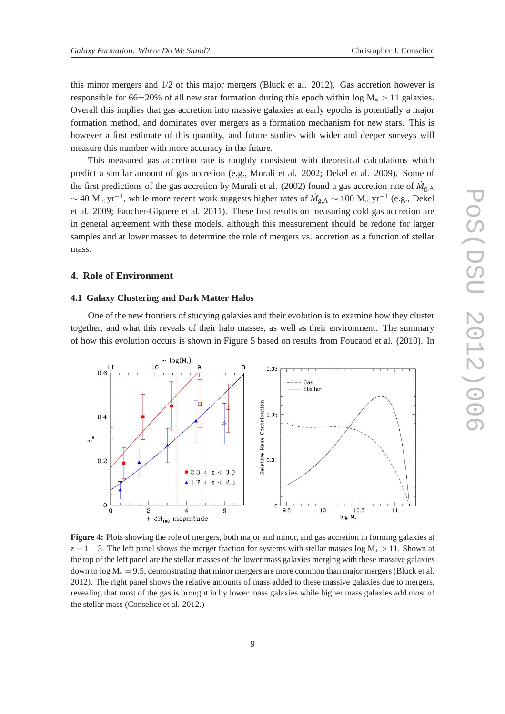this minor mergers and 1/2 of this major mergers (Bluck et al. 2012). Gas accretion however is responsible for 66±20% of all new star formation during this epoch within  $\log M_* > 11$  galaxies. Overall this implies that gas accretion into massive galaxies at early epochs is potentially a major formation method, and dominates over mergers as a formation mechanism for new stars. This is however a first estimate of this quantity, and future studies with wider and deeper surveys will measure this number with more accuracy in the future.

This measured gas accretion rate is roughly consistent with theoretical calculations which predict a similar amount of gas accretion (e.g., Murali et al. 2002; Dekel et al. 2009). Some of the first predictions of the gas accretion by Murali et al. (2002) found a gas accretion rate of  $\dot{M}_{g,A}$  $\sim$  40 M<sub>☉</sub> yr<sup>-1</sup>, while more recent work suggests higher rates of  $\dot{M}_{g,A} \sim 100 \text{ M}_{\odot} \text{yr}^{-1}$  (e.g., Dekel et al. 2009; Faucher-Giguere et al. 2011). These first results on measuring cold gas accretion are in general agreement with these models, although this measurement should be redone for larger samples and at lower masses to determine the role of mergers vs. accretion as a function of stellar mass.

# **4. Role of Environment**

#### **4.1 Galaxy Clustering and Dark Matter Halos**

One of the new frontiers of studying galaxies and their evolution is to examine how they cluster together, and what this reveals of their halo masses, as well as their environment. The summary of how this evolution occurs is shown in Figure 5 based on results from Foucaud et al. (2010). In



**Figure 4:** Plots showing the role of mergers, both major and minor, and gas accretion in forming galaxies at  $z = 1 - 3$ . The left panel shows the merger fraction for systems with stellar masses log  $M_* > 11$ . Shown at the top of the left panel are the stellar masses of the lower mass galaxies merging with these massive galaxies down to log  $M_* = 9.5$ , demonstrating that minor mergers are more common than major mergers (Bluck et al. 2012). The right panel shows the relative amounts of mass added to these massive galaxies due to mergers, revealing that most of the gas is brought in by lower mass galaxies while higher mass galaxies add most of the stellar mass (Conselice et al. 2012.)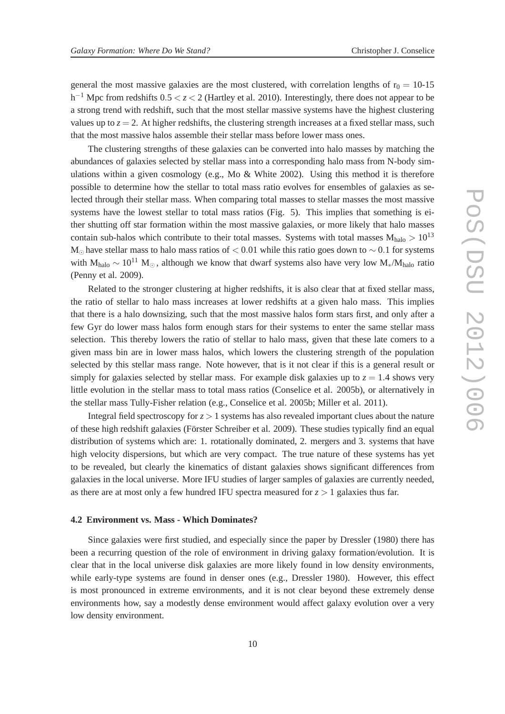general the most massive galaxies are the most clustered, with correlation lengths of  $r_0 = 10{\text -}15$  $h^{-1}$  Mpc from redshifts  $0.5 < z < 2$  (Hartley et al. 2010). Interestingly, there does not appear to be a strong trend with redshift, such that the most stellar massive systems have the highest clustering values up to  $z = 2$ . At higher redshifts, the clustering strength increases at a fixed stellar mass, such that the most massive halos assemble their stellar mass before lower mass ones.

The clustering strengths of these galaxies can be converted into halo masses by matching the abundances of galaxies selected by stellar mass into a corresponding halo mass from N-body simulations within a given cosmology (e.g., Mo & White 2002). Using this method it is therefore possible to determine how the stellar to total mass ratio evolves for ensembles of galaxies as selected through their stellar mass. When comparing total masses to stellar masses the most massive systems have the lowest stellar to total mass ratios (Fig. 5). This implies that something is either shutting off star formation within the most massive galaxies, or more likely that halo masses contain sub-halos which contribute to their total masses. Systems with total masses  $M_{halo} > 10^{13}$ M<sub>⊙</sub> have stellar mass to halo mass ratios of < 0.01 while this ratio goes down to  $\sim$  0.1 for systems with M<sub>halo</sub> ~ 10<sup>11</sup> M<sub>☉</sub>, although we know that dwarf systems also have very low M<sub>\*</sub>/M<sub>halo</sub> ratio (Penny et al. 2009).

Related to the stronger clustering at higher redshifts, it is also clear that at fixed stellar mass, the ratio of stellar to halo mass increases at lower redshifts at a given halo mass. This implies that there is a halo downsizing, such that the most massive halos form stars first, and only after a few Gyr do lower mass halos form enough stars for their systems to enter the same stellar mass selection. This thereby lowers the ratio of stellar to halo mass, given that these late comers to a given mass bin are in lower mass halos, which lowers the clustering strength of the population selected by this stellar mass range. Note however, that is it not clear if this is a general result or simply for galaxies selected by stellar mass. For example disk galaxies up to  $z = 1.4$  shows very little evolution in the stellar mass to total mass ratios (Conselice et al. 2005b), or alternatively in the stellar mass Tully-Fisher relation (e.g., Conselice et al. 2005b; Miller et al. 2011).

Integral field spectroscopy for  $z > 1$  systems has also revealed important clues about the nature of these high redshift galaxies (Förster Schreiber et al. 2009). These studies typically find an equal distribution of systems which are: 1. rotationally dominated, 2. mergers and 3. systems that have high velocity dispersions, but which are very compact. The true nature of these systems has yet to be revealed, but clearly the kinematics of distant galaxies shows significant differences from galaxies in the local universe. More IFU studies of larger samples of galaxies are currently needed, as there are at most only a few hundred IFU spectra measured for  $z > 1$  galaxies thus far.

#### **4.2 Environment vs. Mass - Which Dominates?**

Since galaxies were first studied, and especially since the paper by Dressler (1980) there has been a recurring question of the role of environment in driving galaxy formation/evolution. It is clear that in the local universe disk galaxies are more likely found in low density environments, while early-type systems are found in denser ones (e.g., Dressler 1980). However, this effect is most pronounced in extreme environments, and it is not clear beyond these extremely dense environments how, say a modestly dense environment would affect galaxy evolution over a very low density environment.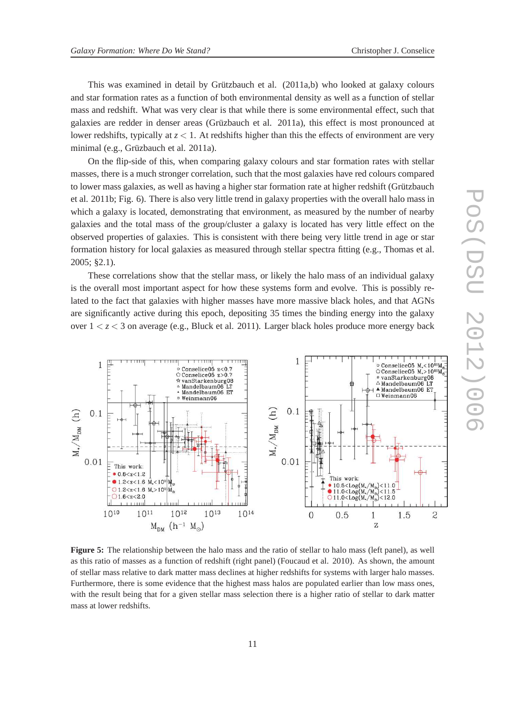This was examined in detail by Grützbauch et al. (2011a,b) who looked at galaxy colours and star formation rates as a function of both environmental density as well as a function of stellar mass and redshift. What was very clear is that while there is some environmental effect, such that galaxies are redder in denser areas (Grüzbauch et al. 2011a), this effect is most pronounced at lower redshifts, typically at  $z < 1$ . At redshifts higher than this the effects of environment are very minimal (e.g., Grüzbauch et al. 2011a).

On the flip-side of this, when comparing galaxy colours and star formation rates with stellar masses, there is a much stronger correlation, such that the most galaxies have red colours compared to lower mass galaxies, as well as having a higher star formation rate at higher redshift (Grützbauch et al. 2011b; Fig. 6). There is also very little trend in galaxy properties with the overall halo mass in which a galaxy is located, demonstrating that environment, as measured by the number of nearby galaxies and the total mass of the group/cluster a galaxy is located has very little effect on the observed properties of galaxies. This is consistent with there being very little trend in age or star formation history for local galaxies as measured through stellar spectra fitting (e.g., Thomas et al. 2005; §2.1).

These correlations show that the stellar mass, or likely the halo mass of an individual galaxy is the overall most important aspect for how these systems form and evolve. This is possibly related to the fact that galaxies with higher masses have more massive black holes, and that AGNs are significantly active during this epoch, depositing 35 times the binding energy into the galaxy over 1 < *z* < 3 on average (e.g., Bluck et al. 2011). Larger black holes produce more energy back



**Figure 5:** The relationship between the halo mass and the ratio of stellar to halo mass (left panel), as well as this ratio of masses as a function of redshift (right panel) (Foucaud et al. 2010). As shown, the amount of stellar mass relative to dark matter mass declines at higher redshifts for systems with larger halo masses. Furthermore, there is some evidence that the highest mass halos are populated earlier than low mass ones, with the result being that for a given stellar mass selection there is a higher ratio of stellar to dark matter mass at lower redshifts.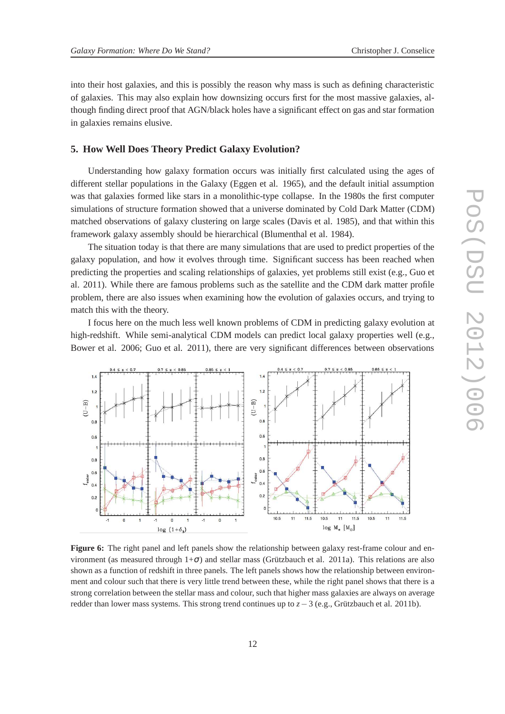into their host galaxies, and this is possibly the reason why mass is such as defining characteristic of galaxies. This may also explain how downsizing occurs first for the most massive galaxies, although finding direct proof that AGN/black holes have a significant effect on gas and star formation in galaxies remains elusive.

# **5. How Well Does Theory Predict Galaxy Evolution?**

Understanding how galaxy formation occurs was initially first calculated using the ages of different stellar populations in the Galaxy (Eggen et al. 1965), and the default initial assumption was that galaxies formed like stars in a monolithic-type collapse. In the 1980s the first computer simulations of structure formation showed that a universe dominated by Cold Dark Matter (CDM) matched observations of galaxy clustering on large scales (Davis et al. 1985), and that within this framework galaxy assembly should be hierarchical (Blumenthal et al. 1984).

The situation today is that there are many simulations that are used to predict properties of the galaxy population, and how it evolves through time. Significant success has been reached when predicting the properties and scaling relationships of galaxies, yet problems still exist (e.g., Guo et al. 2011). While there are famous problems such as the satellite and the CDM dark matter profile problem, there are also issues when examining how the evolution of galaxies occurs, and trying to match this with the theory.

I focus here on the much less well known problems of CDM in predicting galaxy evolution at high-redshift. While semi-analytical CDM models can predict local galaxy properties well (e.g., Bower et al. 2006; Guo et al. 2011), there are very significant differences between observations



**Figure 6:** The right panel and left panels show the relationship between galaxy rest-frame colour and environment (as measured through  $1+\sigma$ ) and stellar mass (Grützbauch et al. 2011a). This relations are also shown as a function of redshift in three panels. The left panels shows how the relationship between environment and colour such that there is very little trend between these, while the right panel shows that there is a strong correlation between the stellar mass and colour, such that higher mass galaxies are always on average redder than lower mass systems. This strong trend continues up to *z*−3 (e.g., Grützbauch et al. 2011b).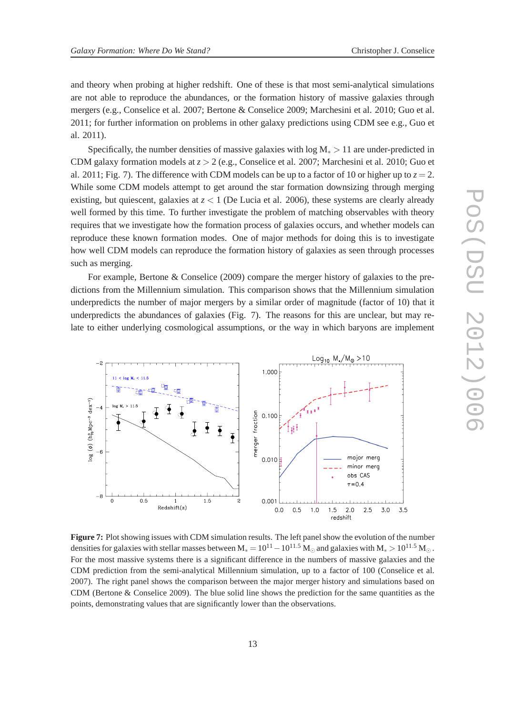and theory when probing at higher redshift. One of these is that most semi-analytical simulations are not able to reproduce the abundances, or the formation history of massive galaxies through mergers (e.g., Conselice et al. 2007; Bertone & Conselice 2009; Marchesini et al. 2010; Guo et al. 2011; for further information on problems in other galaxy predictions using CDM see e.g., Guo et al. 2011).

Specifically, the number densities of massive galaxies with  $\log M_* > 11$  are under-predicted in CDM galaxy formation models at *z* > 2 (e.g., Conselice et al. 2007; Marchesini et al. 2010; Guo et al. 2011; Fig. 7). The difference with CDM models can be up to a factor of 10 or higher up to  $z = 2$ . While some CDM models attempt to get around the star formation downsizing through merging existing, but quiescent, galaxies at  $z < 1$  (De Lucia et al. 2006), these systems are clearly already well formed by this time. To further investigate the problem of matching observables with theory requires that we investigate how the formation process of galaxies occurs, and whether models can reproduce these known formation modes. One of major methods for doing this is to investigate how well CDM models can reproduce the formation history of galaxies as seen through processes such as merging.

For example, Bertone & Conselice (2009) compare the merger history of galaxies to the predictions from the Millennium simulation. This comparison shows that the Millennium simulation underpredicts the number of major mergers by a similar order of magnitude (factor of 10) that it underpredicts the abundances of galaxies (Fig. 7). The reasons for this are unclear, but may relate to either underlying cosmological assumptions, or the way in which baryons are implement



**Figure 7:** Plot showing issues with CDM simulation results. The left panel show the evolution of the number densities for galaxies with stellar masses between  $M_* = 10^{11} - 10^{11.5} M_{\odot}$  and galaxies with  $M_* > 10^{11.5} M_{\odot}$ . For the most massive systems there is a significant difference in the numbers of massive galaxies and the CDM prediction from the semi-analytical Millennium simulation, up to a factor of 100 (Conselice et al. 2007). The right panel shows the comparison between the major merger history and simulations based on CDM (Bertone & Conselice 2009). The blue solid line shows the prediction for the same quantities as the points, demonstrating values that are significantly lower than the observations.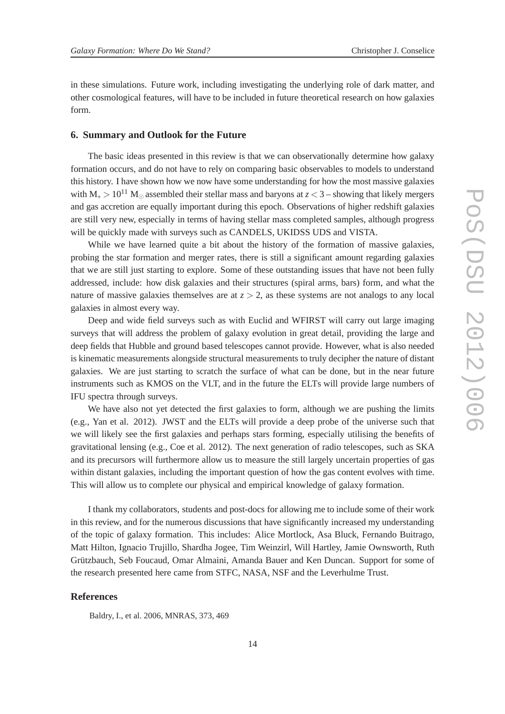in these simulations. Future work, including investigating the underlying role of dark matter, and other cosmological features, will have to be included in future theoretical research on how galaxies form.

#### **6. Summary and Outlook for the Future**

The basic ideas presented in this review is that we can observationally determine how galaxy formation occurs, and do not have to rely on comparing basic observables to models to understand this history. I have shown how we now have some understanding for how the most massive galaxies with  $M_* > 10^{11}$  M<sub>☉</sub> assembled their stellar mass and baryons at  $z < 3$  – showing that likely mergers and gas accretion are equally important during this epoch. Observations of higher redshift galaxies are still very new, especially in terms of having stellar mass completed samples, although progress will be quickly made with surveys such as CANDELS, UKIDSS UDS and VISTA.

While we have learned quite a bit about the history of the formation of massive galaxies, probing the star formation and merger rates, there is still a significant amount regarding galaxies that we are still just starting to explore. Some of these outstanding issues that have not been fully addressed, include: how disk galaxies and their structures (spiral arms, bars) form, and what the nature of massive galaxies themselves are at  $z > 2$ , as these systems are not analogs to any local galaxies in almost every way.

Deep and wide field surveys such as with Euclid and WFIRST will carry out large imaging surveys that will address the problem of galaxy evolution in great detail, providing the large and deep fields that Hubble and ground based telescopes cannot provide. However, what is also needed is kinematic measurements alongside structural measurements to truly decipher the nature of distant galaxies. We are just starting to scratch the surface of what can be done, but in the near future instruments such as KMOS on the VLT, and in the future the ELTs will provide large numbers of IFU spectra through surveys.

We have also not yet detected the first galaxies to form, although we are pushing the limits (e.g., Yan et al. 2012). JWST and the ELTs will provide a deep probe of the universe such that we will likely see the first galaxies and perhaps stars forming, especially utilising the benefits of gravitational lensing (e.g., Coe et al. 2012). The next generation of radio telescopes, such as SKA and its precursors will furthermore allow us to measure the still largely uncertain properties of gas within distant galaxies, including the important question of how the gas content evolves with time. This will allow us to complete our physical and empirical knowledge of galaxy formation.

I thank my collaborators, students and post-docs for allowing me to include some of their work in this review, and for the numerous discussions that have significantly increased my understanding of the topic of galaxy formation. This includes: Alice Mortlock, Asa Bluck, Fernando Buitrago, Matt Hilton, Ignacio Trujillo, Shardha Jogee, Tim Weinzirl, Will Hartley, Jamie Ownsworth, Ruth Grützbauch, Seb Foucaud, Omar Almaini, Amanda Bauer and Ken Duncan. Support for some of the research presented here came from STFC, NASA, NSF and the Leverhulme Trust.

### **References**

Baldry, I., et al. 2006, MNRAS, 373, 469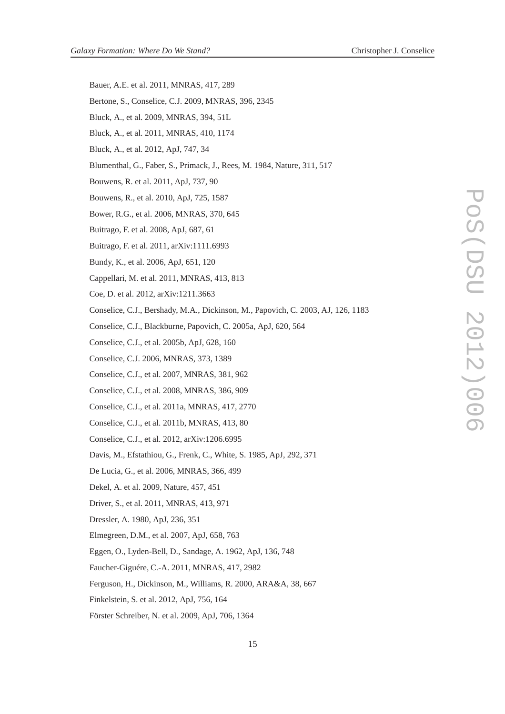- Bauer, A.E. et al. 2011, MNRAS, 417, 289
- Bertone, S., Conselice, C.J. 2009, MNRAS, 396, 2345
- Bluck, A., et al. 2009, MNRAS, 394, 51L
- Bluck, A., et al. 2011, MNRAS, 410, 1174
- Bluck, A., et al. 2012, ApJ, 747, 34
- Blumenthal, G., Faber, S., Primack, J., Rees, M. 1984, Nature, 311, 517
- Bouwens, R. et al. 2011, ApJ, 737, 90
- Bouwens, R., et al. 2010, ApJ, 725, 1587
- Bower, R.G., et al. 2006, MNRAS, 370, 645
- Buitrago, F. et al. 2008, ApJ, 687, 61
- Buitrago, F. et al. 2011, arXiv:1111.6993
- Bundy, K., et al. 2006, ApJ, 651, 120
- Cappellari, M. et al. 2011, MNRAS, 413, 813
- Coe, D. et al. 2012, arXiv:1211.3663
- Conselice, C.J., Bershady, M.A., Dickinson, M., Papovich, C. 2003, AJ, 126, 1183
- Conselice, C.J., Blackburne, Papovich, C. 2005a, ApJ, 620, 564
- Conselice, C.J., et al. 2005b, ApJ, 628, 160
- Conselice, C.J. 2006, MNRAS, 373, 1389
- Conselice, C.J., et al. 2007, MNRAS, 381, 962
- Conselice, C.J., et al. 2008, MNRAS, 386, 909
- Conselice, C.J., et al. 2011a, MNRAS, 417, 2770
- Conselice, C.J., et al. 2011b, MNRAS, 413, 80
- Conselice, C.J., et al. 2012, arXiv:1206.6995
- Davis, M., Efstathiou, G., Frenk, C., White, S. 1985, ApJ, 292, 371
- De Lucia, G., et al. 2006, MNRAS, 366, 499
- Dekel, A. et al. 2009, Nature, 457, 451
- Driver, S., et al. 2011, MNRAS, 413, 971
- Dressler, A. 1980, ApJ, 236, 351
- Elmegreen, D.M., et al. 2007, ApJ, 658, 763
- Eggen, O., Lyden-Bell, D., Sandage, A. 1962, ApJ, 136, 748
- Faucher-Giguére, C.-A. 2011, MNRAS, 417, 2982
- Ferguson, H., Dickinson, M., Williams, R. 2000, ARA&A, 38, 667
- Finkelstein, S. et al. 2012, ApJ, 756, 164
- Förster Schreiber, N. et al. 2009, ApJ, 706, 1364